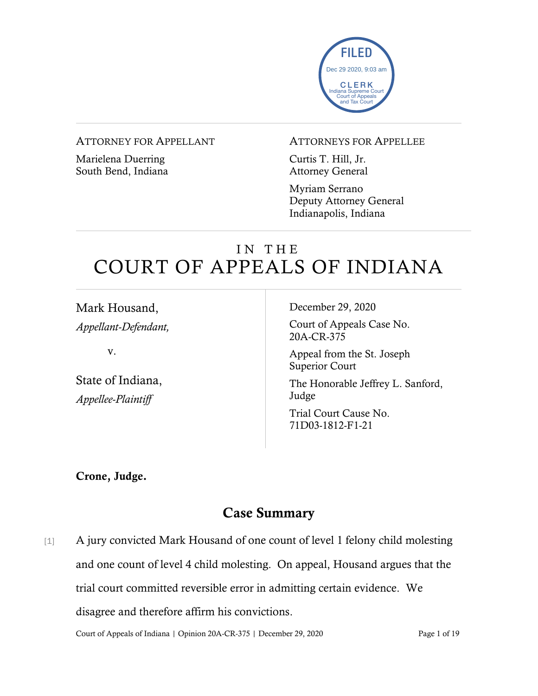

#### ATTORNEY FOR APPELLANT

Marielena Duerring South Bend, Indiana

#### ATTORNEYS FOR APPELLEE

Curtis T. Hill, Jr. Attorney General

Myriam Serrano Deputy Attorney General Indianapolis, Indiana

# IN THE COURT OF APPEALS OF INDIANA

Mark Housand, *Appellant-Defendant,* v. State of Indiana, *Appellee-Plaintiff* December 29, 2020 Court of Appeals Case No. 20A-CR-375 Appeal from the St. Joseph Superior Court The Honorable Jeffrey L. Sanford, Judge Trial Court Cause No. 71D03-1812-F1-21

Crone, Judge.

### Case Summary

[1] A jury convicted Mark Housand of one count of level 1 felony child molesting and one count of level 4 child molesting. On appeal, Housand argues that the trial court committed reversible error in admitting certain evidence. We disagree and therefore affirm his convictions.

Court of Appeals of Indiana | Opinion 20A-CR-375 | December 29, 2020 Page 1 of 19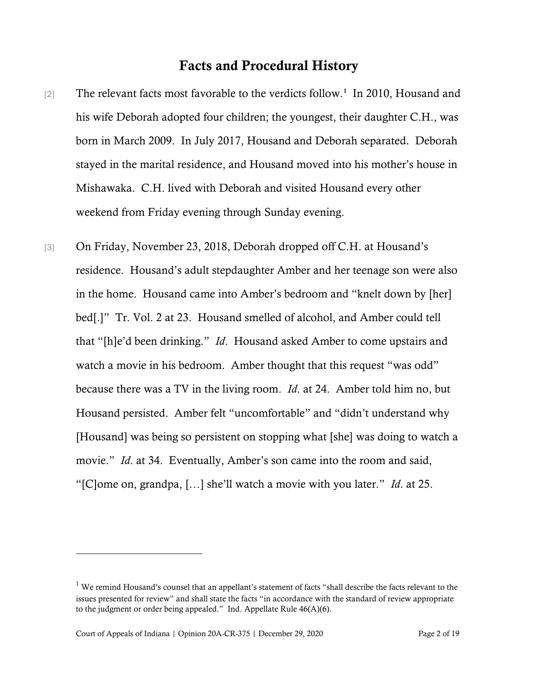#### Facts and Procedural History

- [2] The relevant facts most favorable to the verdicts follow.<sup>[1](#page-1-0)</sup> In 2010, Housand and his wife Deborah adopted four children; the youngest, their daughter C.H., was born in March 2009. In July 2017, Housand and Deborah separated. Deborah stayed in the marital residence, and Housand moved into his mother's house in Mishawaka. C.H. lived with Deborah and visited Housand every other weekend from Friday evening through Sunday evening.
- [3] On Friday, November 23, 2018, Deborah dropped off C.H. at Housand's residence. Housand's adult stepdaughter Amber and her teenage son were also in the home. Housand came into Amber's bedroom and "knelt down by [her] bed[.]" Tr. Vol. 2 at 23. Housand smelled of alcohol, and Amber could tell that "[h]e'd been drinking." *Id*. Housand asked Amber to come upstairs and watch a movie in his bedroom. Amber thought that this request "was odd" because there was a TV in the living room. *Id*. at 24. Amber told him no, but Housand persisted. Amber felt "uncomfortable" and "didn't understand why [Housand] was being so persistent on stopping what [she] was doing to watch a movie." *Id.* at 34. Eventually, Amber's son came into the room and said, "[C]ome on, grandpa, […] she'll watch a movie with you later." *Id*. at 25.

<span id="page-1-0"></span> $1$  We remind Housand's counsel that an appellant's statement of facts "shall describe the facts relevant to the issues presented for review" and shall state the facts "in accordance with the standard of review appropriate to the judgment or order being appealed." Ind. Appellate Rule 46(A)(6).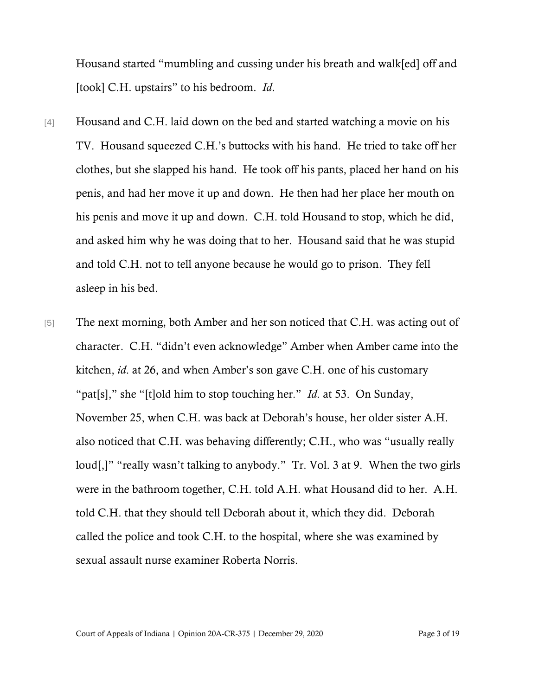Housand started "mumbling and cussing under his breath and walk[ed] off and [took] C.H. upstairs" to his bedroom. *Id*.

- [4] Housand and C.H. laid down on the bed and started watching a movie on his TV. Housand squeezed C.H.'s buttocks with his hand. He tried to take off her clothes, but she slapped his hand. He took off his pants, placed her hand on his penis, and had her move it up and down. He then had her place her mouth on his penis and move it up and down. C.H. told Housand to stop, which he did, and asked him why he was doing that to her. Housand said that he was stupid and told C.H. not to tell anyone because he would go to prison. They fell asleep in his bed.
- [5] The next morning, both Amber and her son noticed that C.H. was acting out of character. C.H. "didn't even acknowledge" Amber when Amber came into the kitchen, *id*. at 26, and when Amber's son gave C.H. one of his customary "pat[s]," she "[t]old him to stop touching her." *Id*. at 53. On Sunday, November 25, when C.H. was back at Deborah's house, her older sister A.H. also noticed that C.H. was behaving differently; C.H., who was "usually really loud[,]" "really wasn't talking to anybody." Tr. Vol. 3 at 9. When the two girls were in the bathroom together, C.H. told A.H. what Housand did to her. A.H. told C.H. that they should tell Deborah about it, which they did. Deborah called the police and took C.H. to the hospital, where she was examined by sexual assault nurse examiner Roberta Norris.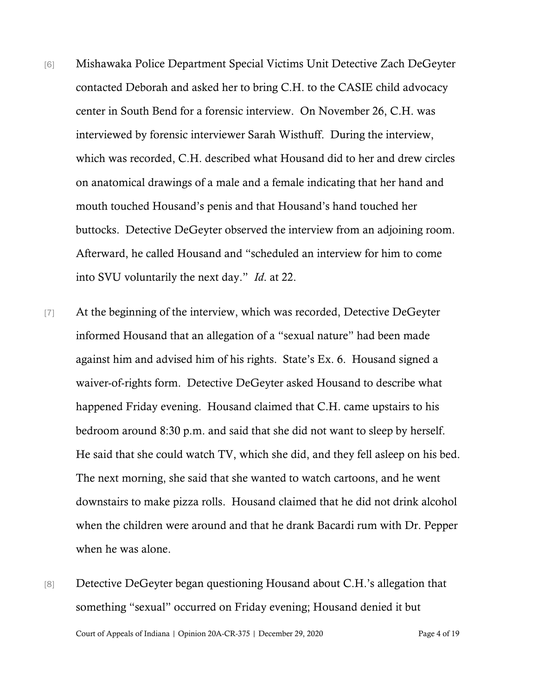- [6] Mishawaka Police Department Special Victims Unit Detective Zach DeGeyter contacted Deborah and asked her to bring C.H. to the CASIE child advocacy center in South Bend for a forensic interview. On November 26, C.H. was interviewed by forensic interviewer Sarah Wisthuff. During the interview, which was recorded, C.H. described what Housand did to her and drew circles on anatomical drawings of a male and a female indicating that her hand and mouth touched Housand's penis and that Housand's hand touched her buttocks. Detective DeGeyter observed the interview from an adjoining room. Afterward, he called Housand and "scheduled an interview for him to come into SVU voluntarily the next day." *Id*. at 22.
- [7] At the beginning of the interview, which was recorded, Detective DeGeyter informed Housand that an allegation of a "sexual nature" had been made against him and advised him of his rights. State's Ex. 6. Housand signed a waiver-of-rights form. Detective DeGeyter asked Housand to describe what happened Friday evening. Housand claimed that C.H. came upstairs to his bedroom around 8:30 p.m. and said that she did not want to sleep by herself. He said that she could watch TV, which she did, and they fell asleep on his bed. The next morning, she said that she wanted to watch cartoons, and he went downstairs to make pizza rolls. Housand claimed that he did not drink alcohol when the children were around and that he drank Bacardi rum with Dr. Pepper when he was alone.
- Court of Appeals of Indiana | Opinion 20A-CR-375 | December 29, 2020 Page 4 of 19 [8] Detective DeGeyter began questioning Housand about C.H.'s allegation that something "sexual" occurred on Friday evening; Housand denied it but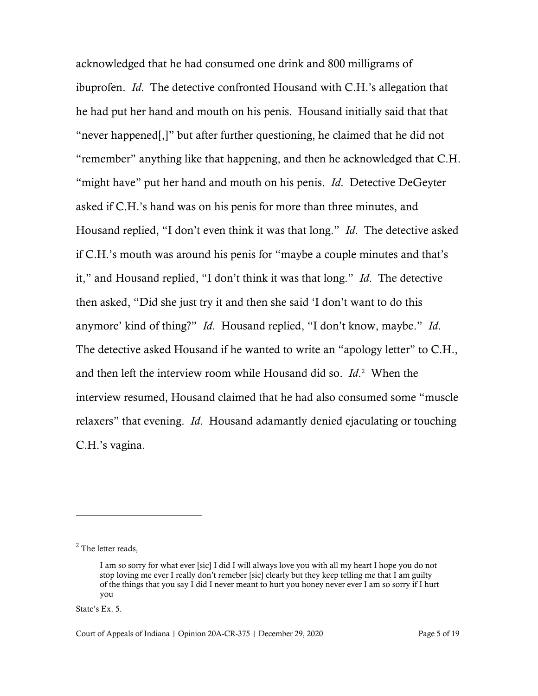acknowledged that he had consumed one drink and 800 milligrams of ibuprofen. *Id*. The detective confronted Housand with C.H.'s allegation that he had put her hand and mouth on his penis. Housand initially said that that "never happened[,]" but after further questioning, he claimed that he did not "remember" anything like that happening, and then he acknowledged that C.H. "might have" put her hand and mouth on his penis. *Id*. Detective DeGeyter asked if C.H.'s hand was on his penis for more than three minutes, and Housand replied, "I don't even think it was that long." *Id*. The detective asked if C.H.'s mouth was around his penis for "maybe a couple minutes and that's it," and Housand replied, "I don't think it was that long." *Id*. The detective then asked, "Did she just try it and then she said 'I don't want to do this anymore' kind of thing?" *Id*. Housand replied, "I don't know, maybe." *Id*. The detective asked Housand if he wanted to write an "apology letter" to C.H., and then left the interview room while Housand did so. *Id*. [2](#page-4-0) When the interview resumed, Housand claimed that he had also consumed some "muscle relaxers" that evening. *Id*. Housand adamantly denied ejaculating or touching C.H.'s vagina.

State's Ex. 5.

<span id="page-4-0"></span> $<sup>2</sup>$  The letter reads,</sup>

I am so sorry for what ever [sic] I did I will always love you with all my heart I hope you do not stop loving me ever I really don't remeber [sic] clearly but they keep telling me that I am guilty of the things that you say I did I never meant to hurt you honey never ever I am so sorry if I hurt you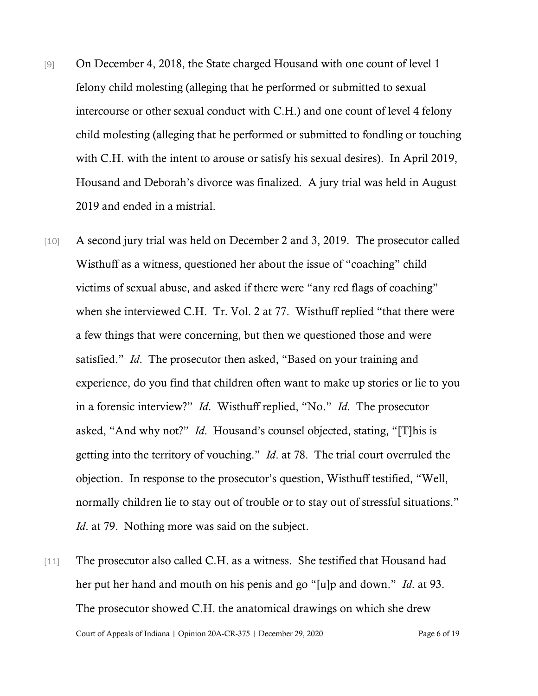- [9] On December 4, 2018, the State charged Housand with one count of level 1 felony child molesting (alleging that he performed or submitted to sexual intercourse or other sexual conduct with C.H.) and one count of level 4 felony child molesting (alleging that he performed or submitted to fondling or touching with C.H. with the intent to arouse or satisfy his sexual desires). In April 2019, Housand and Deborah's divorce was finalized. A jury trial was held in August 2019 and ended in a mistrial.
- [10] A second jury trial was held on December 2 and 3, 2019. The prosecutor called Wisthuff as a witness, questioned her about the issue of "coaching" child victims of sexual abuse, and asked if there were "any red flags of coaching" when she interviewed C.H. Tr. Vol. 2 at 77. Wisthuff replied "that there were a few things that were concerning, but then we questioned those and were satisfied." *Id*. The prosecutor then asked, "Based on your training and experience, do you find that children often want to make up stories or lie to you in a forensic interview?" *Id*. Wisthuff replied, "No." *Id*. The prosecutor asked, "And why not?" *Id*. Housand's counsel objected, stating, "[T]his is getting into the territory of vouching." *Id*. at 78. The trial court overruled the objection. In response to the prosecutor's question, Wisthuff testified, "Well, normally children lie to stay out of trouble or to stay out of stressful situations." *Id.* at 79. Nothing more was said on the subject.
- Court of Appeals of Indiana | Opinion 20A-CR-375 | December 29, 2020 Page 6 of 19 [11] The prosecutor also called C.H. as a witness. She testified that Housand had her put her hand and mouth on his penis and go "[u]p and down." *Id*. at 93. The prosecutor showed C.H. the anatomical drawings on which she drew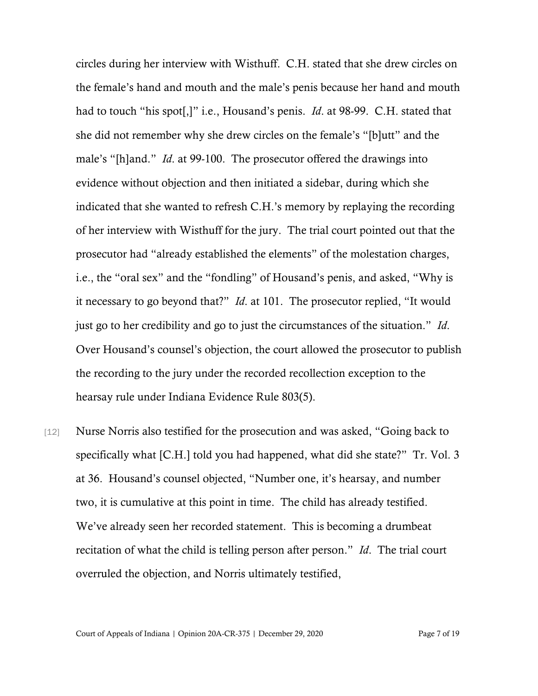circles during her interview with Wisthuff. C.H. stated that she drew circles on the female's hand and mouth and the male's penis because her hand and mouth had to touch "his spot[,]" i.e., Housand's penis. *Id*. at 98-99. C.H. stated that she did not remember why she drew circles on the female's "[b]utt" and the male's "[h]and." *Id*. at 99-100. The prosecutor offered the drawings into evidence without objection and then initiated a sidebar, during which she indicated that she wanted to refresh C.H.'s memory by replaying the recording of her interview with Wisthuff for the jury. The trial court pointed out that the prosecutor had "already established the elements" of the molestation charges, i.e., the "oral sex" and the "fondling" of Housand's penis, and asked, "Why is it necessary to go beyond that?" *Id*. at 101. The prosecutor replied, "It would just go to her credibility and go to just the circumstances of the situation." *Id*. Over Housand's counsel's objection, the court allowed the prosecutor to publish the recording to the jury under the recorded recollection exception to the hearsay rule under Indiana Evidence Rule 803(5).

[12] Nurse Norris also testified for the prosecution and was asked, "Going back to specifically what [C.H.] told you had happened, what did she state?" Tr. Vol. 3 at 36. Housand's counsel objected, "Number one, it's hearsay, and number two, it is cumulative at this point in time. The child has already testified. We've already seen her recorded statement. This is becoming a drumbeat recitation of what the child is telling person after person." *Id*. The trial court overruled the objection, and Norris ultimately testified,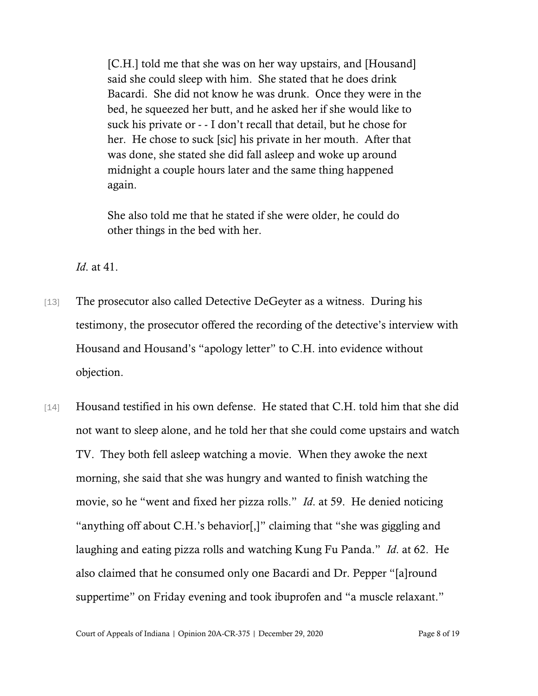[C.H.] told me that she was on her way upstairs, and [Housand] said she could sleep with him. She stated that he does drink Bacardi. She did not know he was drunk. Once they were in the bed, he squeezed her butt, and he asked her if she would like to suck his private or - - I don't recall that detail, but he chose for her. He chose to suck [sic] his private in her mouth. After that was done, she stated she did fall asleep and woke up around midnight a couple hours later and the same thing happened again.

She also told me that he stated if she were older, he could do other things in the bed with her.

*Id*. at 41.

- [13] The prosecutor also called Detective DeGeyter as a witness. During his testimony, the prosecutor offered the recording of the detective's interview with Housand and Housand's "apology letter" to C.H. into evidence without objection.
- [14] Housand testified in his own defense. He stated that C.H. told him that she did not want to sleep alone, and he told her that she could come upstairs and watch TV. They both fell asleep watching a movie. When they awoke the next morning, she said that she was hungry and wanted to finish watching the movie, so he "went and fixed her pizza rolls." *Id*. at 59. He denied noticing "anything off about C.H.'s behavior[,]" claiming that "she was giggling and laughing and eating pizza rolls and watching Kung Fu Panda." *Id*. at 62. He also claimed that he consumed only one Bacardi and Dr. Pepper "[a]round suppertime" on Friday evening and took ibuprofen and "a muscle relaxant."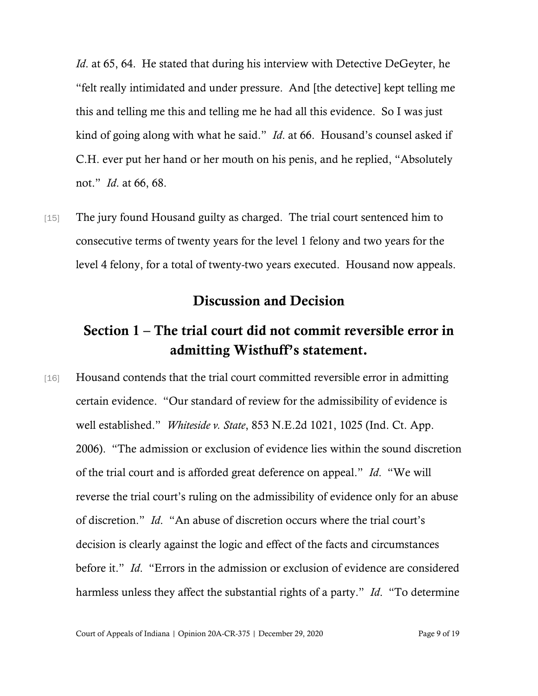*Id.* at 65, 64. He stated that during his interview with Detective DeGeyter, he "felt really intimidated and under pressure. And [the detective] kept telling me this and telling me this and telling me he had all this evidence. So I was just kind of going along with what he said." *Id*. at 66. Housand's counsel asked if C.H. ever put her hand or her mouth on his penis, and he replied, "Absolutely not." *Id*. at 66, 68.

[15] The jury found Housand guilty as charged. The trial court sentenced him to consecutive terms of twenty years for the level 1 felony and two years for the level 4 felony, for a total of twenty-two years executed. Housand now appeals.

### Discussion and Decision

## Section 1 – The trial court did not commit reversible error in admitting Wisthuff's statement.

[16] Housand contends that the trial court committed reversible error in admitting certain evidence. "Our standard of review for the admissibility of evidence is well established." *Whiteside v. State*, 853 N.E.2d 1021, 1025 (Ind. Ct. App. 2006). "The admission or exclusion of evidence lies within the sound discretion of the trial court and is afforded great deference on appeal." *Id*. "We will reverse the trial court's ruling on the admissibility of evidence only for an abuse of discretion." *Id*. "An abuse of discretion occurs where the trial court's decision is clearly against the logic and effect of the facts and circumstances before it." *Id*. "Errors in the admission or exclusion of evidence are considered harmless unless they affect the substantial rights of a party." *Id*. "To determine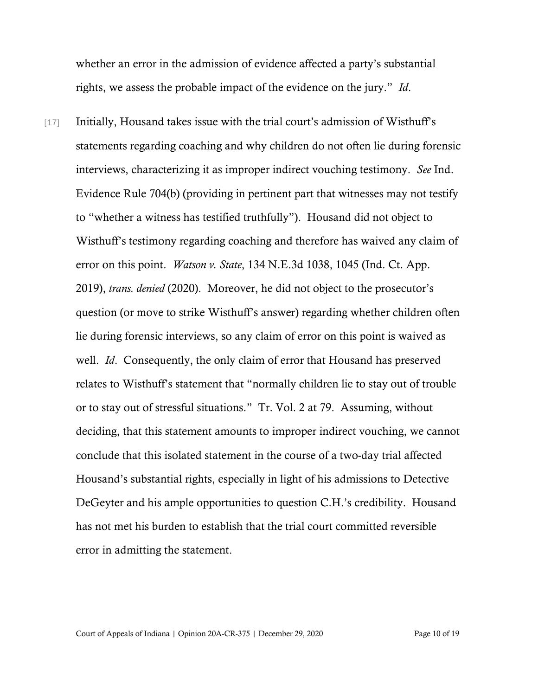whether an error in the admission of evidence affected a party's substantial rights, we assess the probable impact of the evidence on the jury." *Id*.

[17] Initially, Housand takes issue with the trial court's admission of Wisthuff's statements regarding coaching and why children do not often lie during forensic interviews, characterizing it as improper indirect vouching testimony. *See* Ind. Evidence Rule 704(b) (providing in pertinent part that witnesses may not testify to "whether a witness has testified truthfully"). Housand did not object to Wisthuff's testimony regarding coaching and therefore has waived any claim of error on this point. *Watson v. State*, 134 N.E.3d 1038, 1045 (Ind. Ct. App. 2019), *trans. denied* (2020). Moreover, he did not object to the prosecutor's question (or move to strike Wisthuff's answer) regarding whether children often lie during forensic interviews, so any claim of error on this point is waived as well. *Id*. Consequently, the only claim of error that Housand has preserved relates to Wisthuff's statement that "normally children lie to stay out of trouble or to stay out of stressful situations." Tr. Vol. 2 at 79. Assuming, without deciding, that this statement amounts to improper indirect vouching, we cannot conclude that this isolated statement in the course of a two-day trial affected Housand's substantial rights, especially in light of his admissions to Detective DeGeyter and his ample opportunities to question C.H.'s credibility. Housand has not met his burden to establish that the trial court committed reversible error in admitting the statement.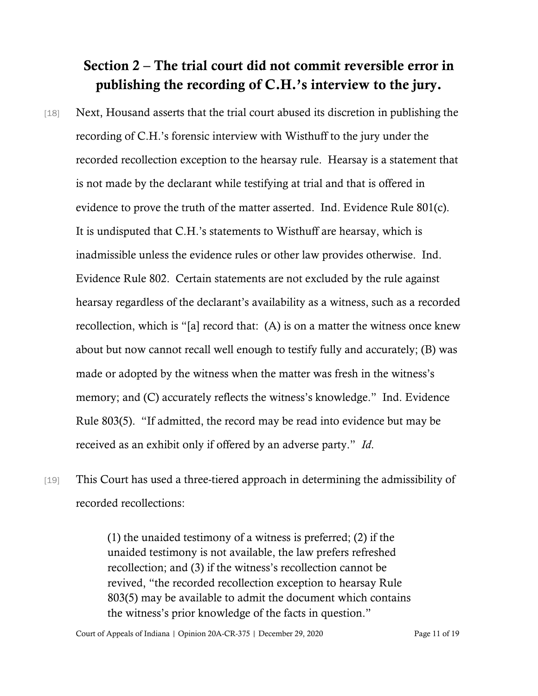# Section 2 – The trial court did not commit reversible error in publishing the recording of C.H.'s interview to the jury.

- [18] Next, Housand asserts that the trial court abused its discretion in publishing the recording of C.H.'s forensic interview with Wisthuff to the jury under the recorded recollection exception to the hearsay rule. Hearsay is a statement that is not made by the declarant while testifying at trial and that is offered in evidence to prove the truth of the matter asserted. Ind. Evidence Rule 801(c). It is undisputed that C.H.'s statements to Wisthuff are hearsay, which is inadmissible unless the evidence rules or other law provides otherwise. Ind. Evidence Rule 802. Certain statements are not excluded by the rule against hearsay regardless of the declarant's availability as a witness, such as a recorded recollection, which is "[a] record that: (A) is on a matter the witness once knew about but now cannot recall well enough to testify fully and accurately; (B) was made or adopted by the witness when the matter was fresh in the witness's memory; and (C) accurately reflects the witness's knowledge." Ind. Evidence Rule 803(5). "If admitted, the record may be read into evidence but may be received as an exhibit only if offered by an adverse party." *Id*.
- [19] This Court has used a three-tiered approach in determining the admissibility of recorded recollections:

(1) the unaided testimony of a witness is preferred; (2) if the unaided testimony is not available, the law prefers refreshed recollection; and (3) if the witness's recollection cannot be revived, "the recorded recollection exception to hearsay Rule 803(5) may be available to admit the document which contains the witness's prior knowledge of the facts in question."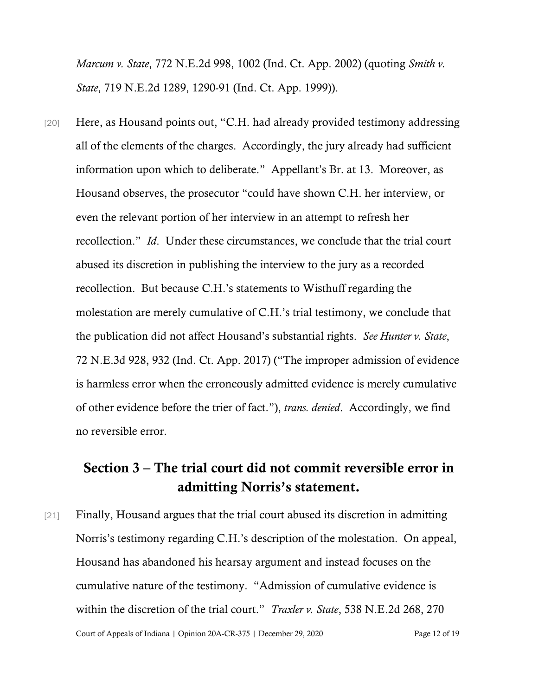*Marcum v. State*, 772 N.E.2d 998, 1002 (Ind. Ct. App. 2002) (quoting *Smith v. State*, 719 N.E.2d 1289, 1290-91 (Ind. Ct. App. 1999)).

[20] Here, as Housand points out, "C.H. had already provided testimony addressing all of the elements of the charges. Accordingly, the jury already had sufficient information upon which to deliberate." Appellant's Br. at 13. Moreover, as Housand observes, the prosecutor "could have shown C.H. her interview, or even the relevant portion of her interview in an attempt to refresh her recollection." *Id*. Under these circumstances, we conclude that the trial court abused its discretion in publishing the interview to the jury as a recorded recollection. But because C.H.'s statements to Wisthuff regarding the molestation are merely cumulative of C.H.'s trial testimony, we conclude that the publication did not affect Housand's substantial rights. *See Hunter v. State*, 72 N.E.3d 928, 932 (Ind. Ct. App. 2017) ("The improper admission of evidence is harmless error when the erroneously admitted evidence is merely cumulative of other evidence before the trier of fact."), *trans. denied*. Accordingly, we find no reversible error.

## Section 3 – The trial court did not commit reversible error in admitting Norris's statement.

Court of Appeals of Indiana | Opinion 20A-CR-375 | December 29, 2020 Page 12 of 19 [21] Finally, Housand argues that the trial court abused its discretion in admitting Norris's testimony regarding C.H.'s description of the molestation. On appeal, Housand has abandoned his hearsay argument and instead focuses on the cumulative nature of the testimony. "Admission of cumulative evidence is within the discretion of the trial court." *Traxler v. State*, 538 N.E.2d 268, 270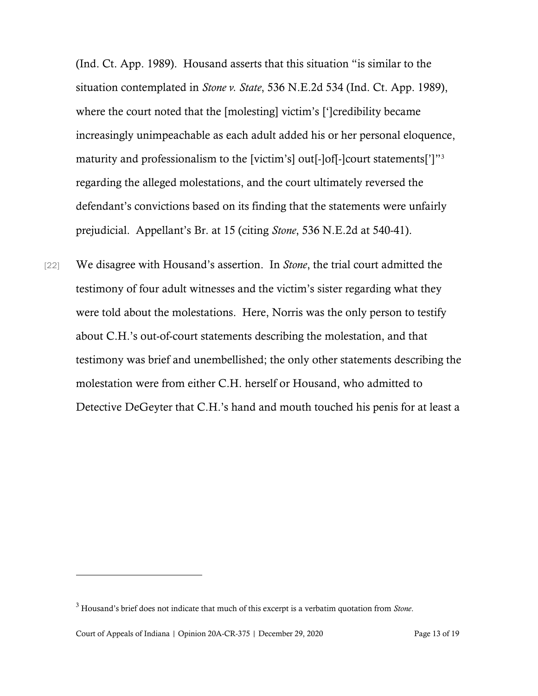(Ind. Ct. App. 1989). Housand asserts that this situation "is similar to the situation contemplated in *Stone v. State*, 536 N.E.2d 534 (Ind. Ct. App. 1989), where the court noted that the [molesting] victim's [']credibility became increasingly unimpeachable as each adult added his or her personal eloquence, maturity and professionalism to the [victim's] out[-]of[-]court statements[']"<sup>[3](#page-12-0)</sup> regarding the alleged molestations, and the court ultimately reversed the defendant's convictions based on its finding that the statements were unfairly prejudicial. Appellant's Br. at 15 (citing *Stone*, 536 N.E.2d at 540-41).

[22] We disagree with Housand's assertion. In *Stone*, the trial court admitted the testimony of four adult witnesses and the victim's sister regarding what they were told about the molestations. Here, Norris was the only person to testify about C.H.'s out-of-court statements describing the molestation, and that testimony was brief and unembellished; the only other statements describing the molestation were from either C.H. herself or Housand, who admitted to Detective DeGeyter that C.H.'s hand and mouth touched his penis for at least a

<span id="page-12-0"></span><sup>3</sup> Housand's brief does not indicate that much of this excerpt is a verbatim quotation from *Stone*.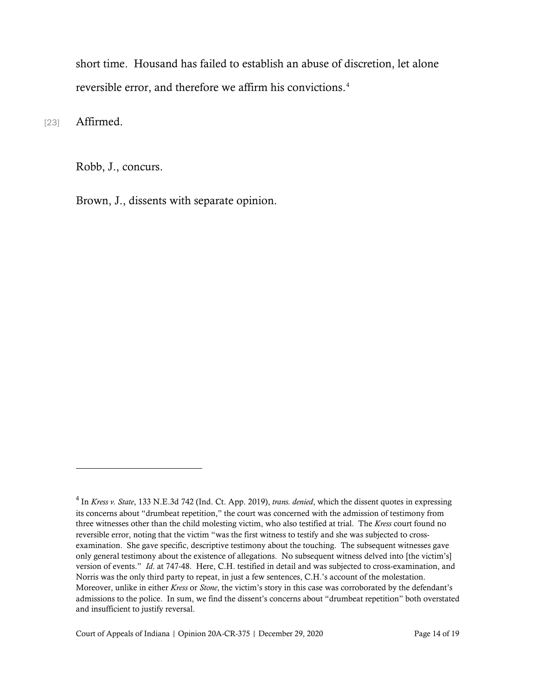short time. Housand has failed to establish an abuse of discretion, let alone reversible error, and therefore we affirm his convictions. [4](#page-13-0)

[23] **Affirmed.** 

Robb, J., concurs.

Brown, J., dissents with separate opinion.

<span id="page-13-0"></span><sup>4</sup> In *Kress v. State*, 133 N.E.3d 742 (Ind. Ct. App. 2019), *trans. denied*, which the dissent quotes in expressing its concerns about "drumbeat repetition," the court was concerned with the admission of testimony from three witnesses other than the child molesting victim, who also testified at trial. The *Kress* court found no reversible error, noting that the victim "was the first witness to testify and she was subjected to crossexamination. She gave specific, descriptive testimony about the touching. The subsequent witnesses gave only general testimony about the existence of allegations. No subsequent witness delved into [the victim's] version of events." *Id*. at 747-48. Here, C.H. testified in detail and was subjected to cross-examination, and Norris was the only third party to repeat, in just a few sentences, C.H.'s account of the molestation. Moreover, unlike in either *Kress* or *Stone*, the victim's story in this case was corroborated by the defendant's admissions to the police. In sum, we find the dissent's concerns about "drumbeat repetition" both overstated and insufficient to justify reversal.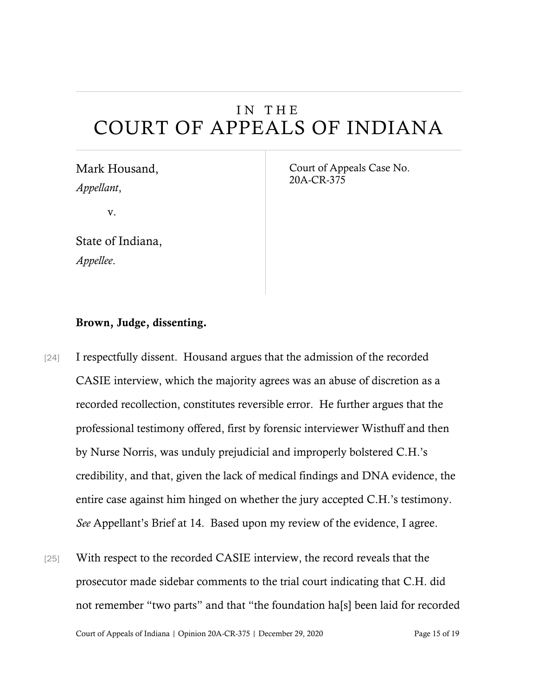# IN THE COURT OF APPEALS OF INDIANA

Mark Housand, *Appellant*,

v.

State of Indiana, *Appellee*.

Court of Appeals Case No. 20A-CR-375

#### Brown, Judge, dissenting.

- [24] I respectfully dissent. Housand argues that the admission of the recorded CASIE interview, which the majority agrees was an abuse of discretion as a recorded recollection, constitutes reversible error. He further argues that the professional testimony offered, first by forensic interviewer Wisthuff and then by Nurse Norris, was unduly prejudicial and improperly bolstered C.H.'s credibility, and that, given the lack of medical findings and DNA evidence, the entire case against him hinged on whether the jury accepted C.H.'s testimony. *See* Appellant's Brief at 14. Based upon my review of the evidence, I agree.
- [25] With respect to the recorded CASIE interview, the record reveals that the prosecutor made sidebar comments to the trial court indicating that C.H. did not remember "two parts" and that "the foundation ha[s] been laid for recorded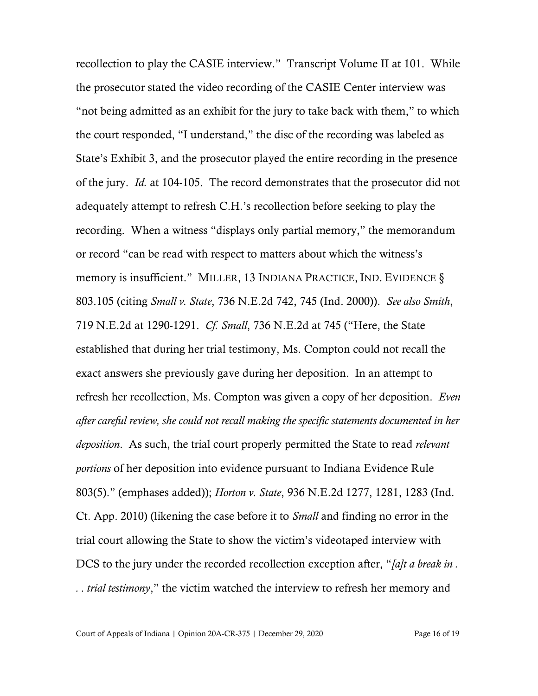recollection to play the CASIE interview." Transcript Volume II at 101. While the prosecutor stated the video recording of the CASIE Center interview was "not being admitted as an exhibit for the jury to take back with them," to which the court responded, "I understand," the disc of the recording was labeled as State's Exhibit 3, and the prosecutor played the entire recording in the presence of the jury. *Id.* at 104-105. The record demonstrates that the prosecutor did not adequately attempt to refresh C.H.'s recollection before seeking to play the recording. When a witness "displays only partial memory," the memorandum or record "can be read with respect to matters about which the witness's memory is insufficient." MILLER, 13 INDIANA PRACTICE, IND. EVIDENCE § 803.105 (citing *Small v. State*, 736 N.E.2d 742, 745 (Ind. 2000)). *See also Smith*, 719 N.E.2d at 1290-1291. *Cf. Small*, 736 N.E.2d at 745 ("Here, the State established that during her trial testimony, Ms. Compton could not recall the exact answers she previously gave during her deposition. In an attempt to refresh her recollection, Ms. Compton was given a copy of her deposition. *Even after careful review, she could not recall making the specific statements documented in her deposition*. As such, the trial court properly permitted the State to read *relevant portions* of her deposition into evidence pursuant to Indiana Evidence Rule 803(5)." (emphases added)); *Horton v. State*, 936 N.E.2d 1277, 1281, 1283 (Ind. Ct. App. 2010) (likening the case before it to *Small* and finding no error in the trial court allowing the State to show the victim's videotaped interview with DCS to the jury under the recorded recollection exception after, "*[a]t a break in . . . trial testimony*," the victim watched the interview to refresh her memory and

Court of Appeals of Indiana | Opinion 20A-CR-375 | December 29, 2020 Page 16 of 19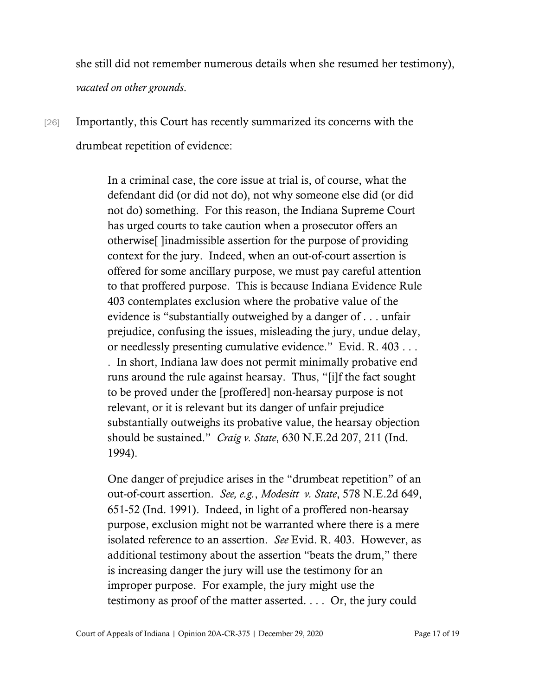she still did not remember numerous details when she resumed her testimony), *vacated on other grounds*.

[26] Importantly, this Court has recently summarized its concerns with the drumbeat repetition of evidence:

> In a criminal case, the core issue at trial is, of course, what the defendant did (or did not do), not why someone else did (or did not do) something. For this reason, the Indiana Supreme Court has urged courts to take caution when a prosecutor offers an otherwise[ ]inadmissible assertion for the purpose of providing context for the jury. Indeed, when an out-of-court assertion is offered for some ancillary purpose, we must pay careful attention to that proffered purpose. This is because Indiana Evidence Rule 403 contemplates exclusion where the probative value of the evidence is "substantially outweighed by a danger of . . . unfair prejudice, confusing the issues, misleading the jury, undue delay, or needlessly presenting cumulative evidence." Evid. R. 403 . . . . In short, Indiana law does not permit minimally probative end runs around the rule against hearsay. Thus, "[i]f the fact sought to be proved under the [proffered] non-hearsay purpose is not relevant, or it is relevant but its danger of unfair prejudice substantially outweighs its probative value, the hearsay objection should be sustained." *Craig v. State*, 630 N.E.2d 207, 211 (Ind. 1994).

> One danger of prejudice arises in the "drumbeat repetition" of an out-of-court assertion. *See, e.g.*, *Modesitt v. State*, 578 N.E.2d 649, 651-52 (Ind. 1991). Indeed, in light of a proffered non-hearsay purpose, exclusion might not be warranted where there is a mere isolated reference to an assertion. *See* Evid. R. 403. However, as additional testimony about the assertion "beats the drum," there is increasing danger the jury will use the testimony for an improper purpose. For example, the jury might use the testimony as proof of the matter asserted. . . . Or, the jury could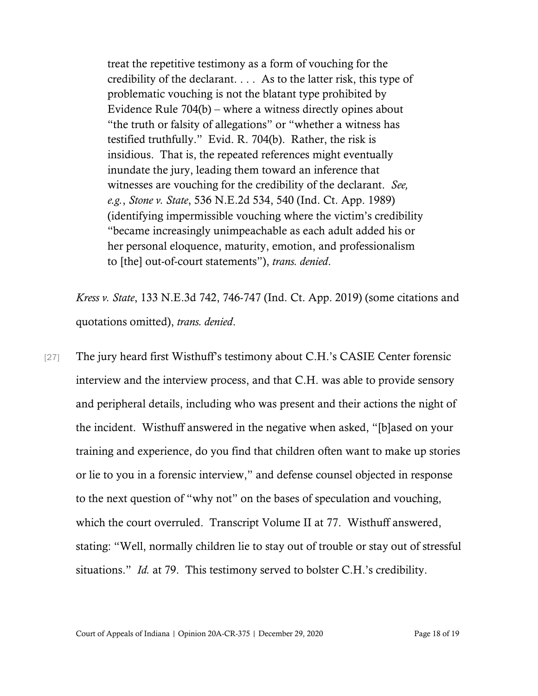treat the repetitive testimony as a form of vouching for the credibility of the declarant. . . . As to the latter risk, this type of problematic vouching is not the blatant type prohibited by Evidence Rule 704(b) – where a witness directly opines about "the truth or falsity of allegations" or "whether a witness has testified truthfully." Evid. R. 704(b). Rather, the risk is insidious. That is, the repeated references might eventually inundate the jury, leading them toward an inference that witnesses are vouching for the credibility of the declarant. *See, e.g.*, *Stone v. State*, 536 N.E.2d 534, 540 (Ind. Ct. App. 1989) (identifying impermissible vouching where the victim's credibility "became increasingly unimpeachable as each adult added his or her personal eloquence, maturity, emotion, and professionalism to [the] out-of-court statements"), *trans. denied*.

*Kress v. State*, 133 N.E.3d 742, 746-747 (Ind. Ct. App. 2019) (some citations and quotations omitted), *trans. denied*.

[27] The jury heard first Wisthuff's testimony about C.H.'s CASIE Center forensic interview and the interview process, and that C.H. was able to provide sensory and peripheral details, including who was present and their actions the night of the incident. Wisthuff answered in the negative when asked, "[b]ased on your training and experience, do you find that children often want to make up stories or lie to you in a forensic interview," and defense counsel objected in response to the next question of "why not" on the bases of speculation and vouching, which the court overruled. Transcript Volume II at 77. Wisthuff answered, stating: "Well, normally children lie to stay out of trouble or stay out of stressful situations." *Id.* at 79. This testimony served to bolster C.H.'s credibility.